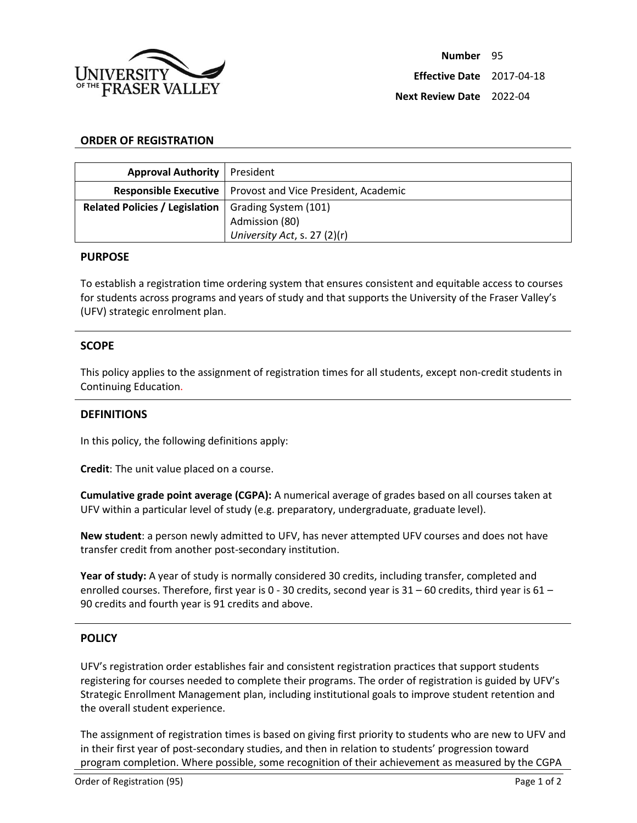

# **ORDER OF REGISTRATION**

| <b>Approval Authority   President</b>                 |                                                                     |
|-------------------------------------------------------|---------------------------------------------------------------------|
|                                                       | <b>Responsible Executive</b>   Provost and Vice President, Academic |
| Related Policies / Legislation   Grading System (101) |                                                                     |
|                                                       | Admission (80)                                                      |
|                                                       | University Act, s. 27 (2)(r)                                        |

#### **PURPOSE**

To establish a registration time ordering system that ensures consistent and equitable access to courses for students across programs and years of study and that supports the University of the Fraser Valley's (UFV) strategic enrolment plan.

## **SCOPE**

This policy applies to the assignment of registration times for all students, except non-credit students in Continuing Education.

#### **DEFINITIONS**

In this policy, the following definitions apply:

**Credit**: The unit value placed on a course.

**Cumulative grade point average (CGPA):** A numerical average of grades based on all courses taken at UFV within a particular level of study (e.g. preparatory, undergraduate, graduate level).

**New student**: a person newly admitted to UFV, has never attempted UFV courses and does not have transfer credit from another post-secondary institution.

**Year of study:** A year of study is normally considered 30 credits, including transfer, completed and enrolled courses. Therefore, first year is 0 - 30 credits, second year is 31 – 60 credits, third year is 61 – 90 credits and fourth year is 91 credits and above.

## **POLICY**

UFV's registration order establishes fair and consistent registration practices that support students registering for courses needed to complete their programs. The order of registration is guided by UFV's Strategic Enrollment Management plan, including institutional goals to improve student retention and the overall student experience.

The assignment of registration times is based on giving first priority to students who are new to UFV and in their first year of post-secondary studies, and then in relation to students' progression toward program completion. Where possible, some recognition of their achievement as measured by the CGPA